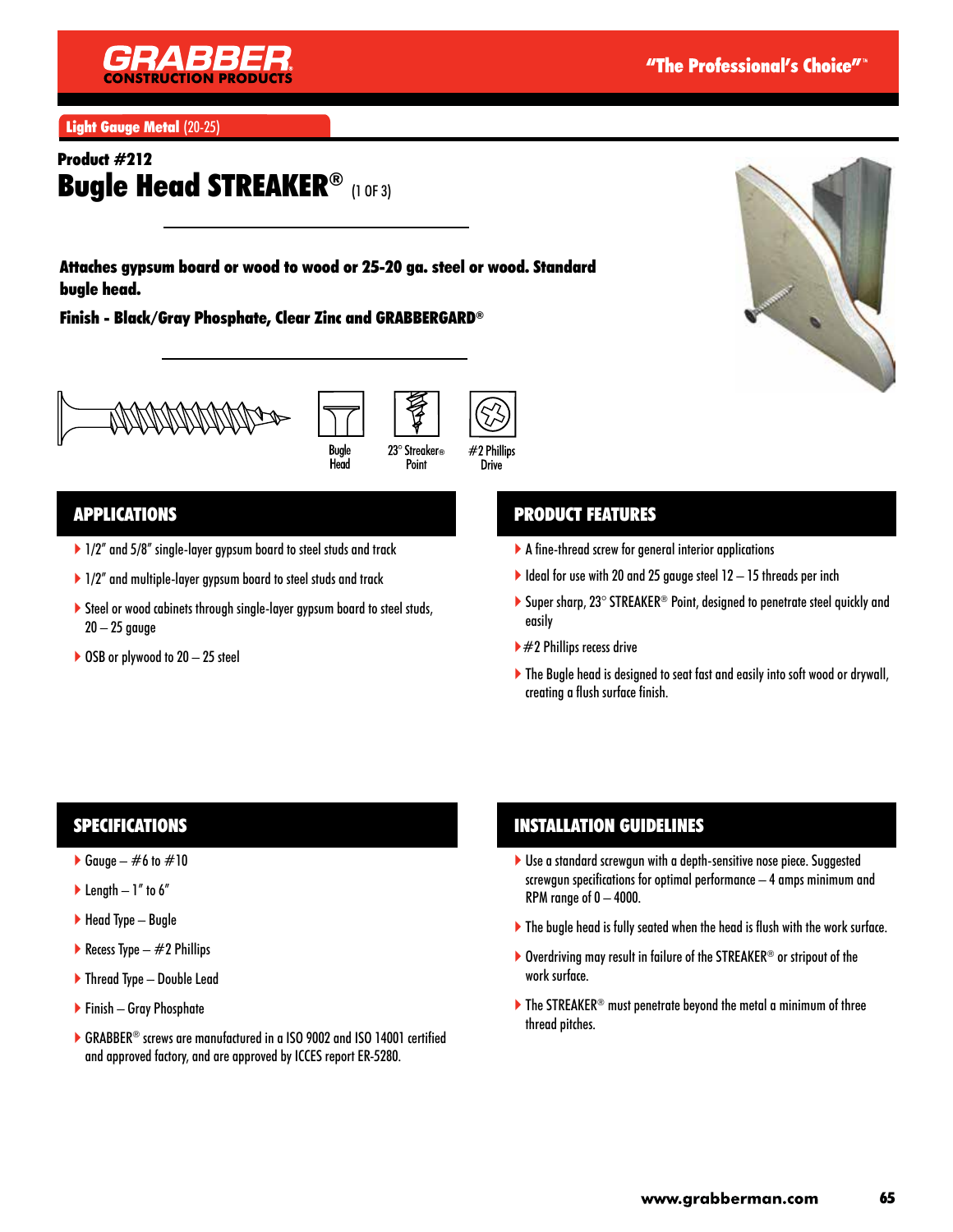

Light Gauge Metal (20-25)

## Product #212 Bugle Head STREAKER® (1 OF 3)

Attaches gypsum board or wood to wood or 25-20 ga. steel or wood. Standard bugle head.

Finish - Black/Gray Phosphate, Clear Zinc and GRABBERGARD®







### APPLICATIONS

- ▶ 1/2" and 5/8" single-layer gypsum board to steel studs and track
- ▶ 1/2" and multiple-layer gypsum board to steel studs and track
- Steel or wood cabinets through single-layer gypsum board to steel studs,  $20 - 25$  gauge
- $\triangleright$  OSB or plywood to 20 25 steel

### PRODUCT FEATURES

- A fine-thread screw for general interior applications
- $\blacktriangleright$  Ideal for use with 20 and 25 gauge steel 12 15 threads per inch
- ▶ Super sharp, 23° STREAKER<sup>®</sup> Point, designed to penetrate steel quickly and easily
- $\blacktriangleright$  #2 Phillips recess drive
- ▶ The Bugle head is designed to seat fast and easily into soft wood or drywall, creating a flush surface finish.

### SPECIFICATIONS

- Gauge  $\#6$  to  $\#10$
- $\blacktriangleright$  Length  $-1$ " to 6"
- $\blacktriangleright$  Head Type Bugle
- Recess Type  $-$  #2 Phillips
- ▶ Thread Type Double Lead
- Finish Gray Phosphate
- ▶ GRABBER<sup>®</sup> screws are manufactured in a ISO 9002 and ISO 14001 certified and approved factory, and are approved by ICCES report ER-5280.

### INSTALLATION GUIDELINES

- Use a standard screwgun with a depth-sensitive nose piece. Suggested screwgun specifications for optimal performance – 4 amps minimum and RPM range of  $0 - 4000$ .
- The bugle head is fully seated when the head is flush with the work surface.
- ▶ Overdriving may result in failure of the STREAKER<sup>®</sup> or stripout of the work surface.
- $\blacktriangleright$  The STREAKER<sup>®</sup> must penetrate beyond the metal a minimum of three thread pitches.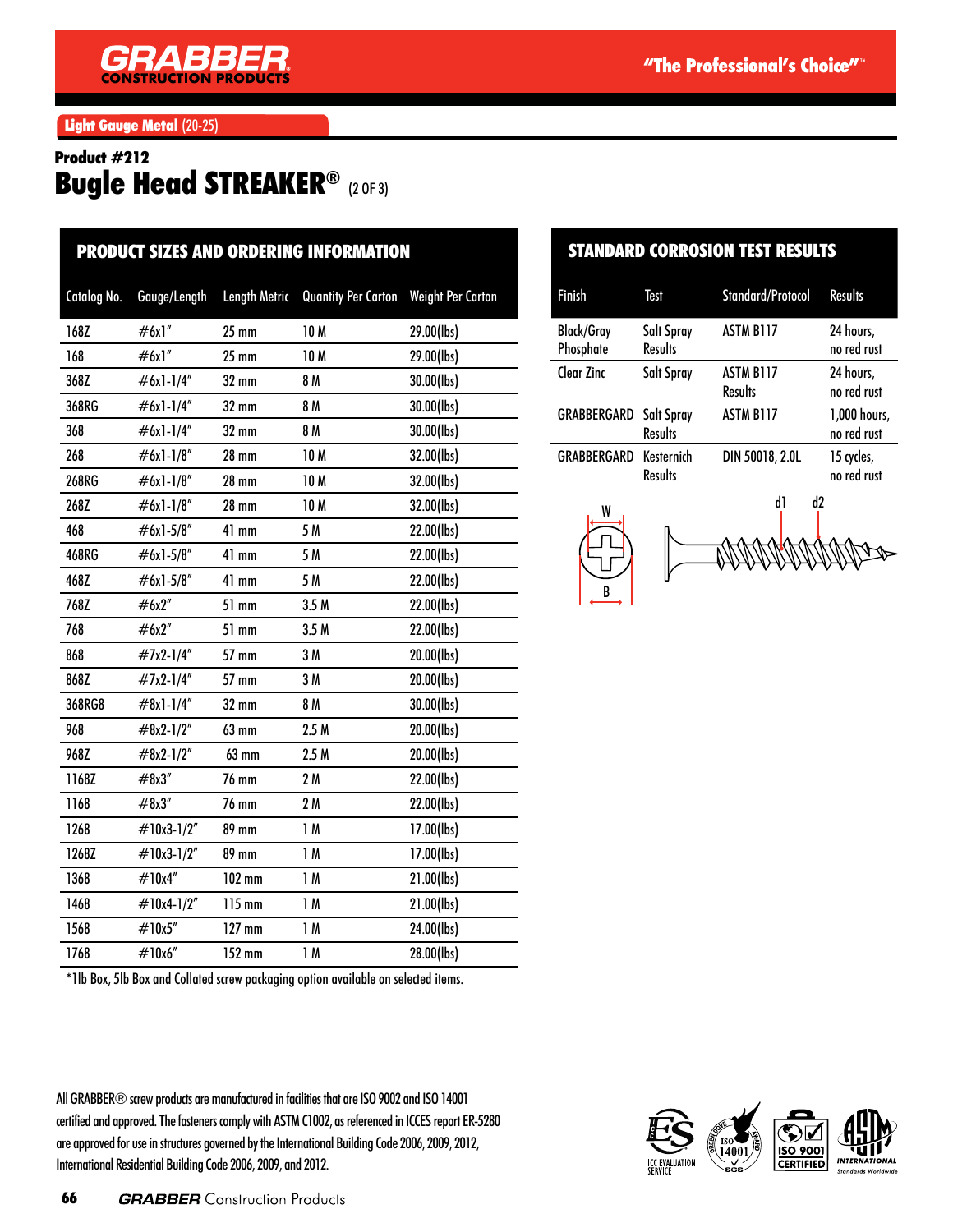Light Gauge Metal (20-25)

# Product #212 Bugle Head STREAKER® (2 OF 3)

| <b>PRODUCT SIZES AND ORDERING INFORMATION</b> |              |                      |                            |                          |
|-----------------------------------------------|--------------|----------------------|----------------------------|--------------------------|
| Catalog No.                                   | Gauge/Length | <b>Length Metric</b> | <b>Quantity Per Carton</b> | <b>Weight Per Carton</b> |
| 168Z                                          | #6x1"        | $25$ mm              | 10 M                       | 29.00(lbs)               |
| 168                                           | #6x1"        | $25 \text{ mm}$      | <b>10M</b>                 | 29.00(lbs)               |
| 368Z                                          | $#6x1-1/4"$  | 32 mm                | 8 M                        | 30.00(lbs)               |
| 368RG                                         | #6x1-1/4"    | 32 mm                | 8 M                        | 30.00(lbs)               |
| 368                                           | #6x1-1/4"    | 32 mm                | 8 M                        | 30.00(lbs)               |
| 268                                           | #6x1-1/8"    | <b>28 mm</b>         | 10 M                       | 32.00(lbs)               |
| 268RG                                         | $#6x1-1/8"$  | $28 \text{ mm}$      | 10 M                       | 32.00(lbs)               |
| 268Z                                          | #6x1-1/8"    | <b>28 mm</b>         | 10 M                       | 32.00(lbs)               |
| 468                                           | $#6x1-5/8"$  | 41 mm                | 5 M                        | 22.00(lbs)               |
| 468RG                                         | $#6x1-5/8"$  | 41 mm                | 5 M                        | 22.00(lbs)               |
| 468Z                                          | #6x1-5/8"    | 41 mm                | 5 M                        | 22.00(lbs)               |
| 768Z                                          | #6x2"        | 51 mm                | 3.5M                       | 22.00(lbs)               |
| 768                                           | #6x2"        | 51 mm                | 3.5M                       | 22.00(lbs)               |
| 868                                           | #7x2-1/4"    | 57 mm                | 3M                         | 20.00(lbs)               |
| 868Z                                          | #7x2-1/4"    | 57 mm                | 3M                         | 20.00(lbs)               |
| 368RG8                                        | $#8x1-1/4"$  | 32 mm                | 8 M                        | 30.00(lbs)               |
| 968                                           | $#8x2-1/2"$  | 63 mm                | 2.5M                       | 20.00(lbs)               |
| 968Z                                          | $#8x2-1/2"$  | 63 mm                | 2.5M                       | 20.00(lbs)               |
| 1168Z                                         | #8x3''       | 76 mm                | 2M                         | 22.00(lbs)               |
| 1168                                          | #8x3''       | <b>76 mm</b>         | 2M                         | 22.00(lbs)               |
| 1268                                          | #10x3-1/2"   | 89 mm                | 1M                         | 17.00(lbs)               |
| 1268Z                                         | #10x3-1/2"   | 89 mm                | 1M                         | 17.00(lbs)               |
| 1368                                          | #10x4"       | $102$ mm             | 1M                         | 21.00(lbs)               |
| 1468                                          | #10x4-1/2"   | 115 mm               | 1M                         | 21.00(lbs)               |
| 1568                                          | #10x5"       | $127$ mm             | 1M                         | 24.00(lbs)               |
| 1768                                          | #10x6"       | 152 mm               | 1M                         | 28.00(lbs)               |
|                                               |              |                      |                            |                          |

#### STANDARD CORROSION TEST RESULTS

| <b>Finish</b>                  | Test                         | <b>Standard/Protocol</b>           | <b>Results</b>              |
|--------------------------------|------------------------------|------------------------------------|-----------------------------|
| <b>Black/Gray</b><br>Phosphate | Salt Spray<br><b>Results</b> | <b>ASTM B117</b>                   | 24 hours,<br>no red rust    |
| Clear Zinc                     | Salt Spray                   | <b>ASTM B117</b><br><b>Results</b> | 24 hours,<br>no red rust    |
| <b>GRABBERGARD</b> Salt Spray  | <b>Results</b>               | <b>ASTM B117</b>                   | 1,000 hours,<br>no red rust |
| GRABBERGARD                    | Kesternich<br><b>Results</b> | DIN 50018, 2.0L                    | 15 cycles,<br>no red rust   |





\*1lb Box, 5lb Box and Collated screw packaging option available on selected items.

All GRABBER® screw products are manufactured in facilities that are ISO 9002 and ISO 14001 certified and approved. The fasteners comply with ASTM C1002, as referenced in ICCES report ER-5280 are approved for use in structures governed by the International Building Code 2006, 2009, 2012, International Residential Building Code 2006, 2009, and 2012.